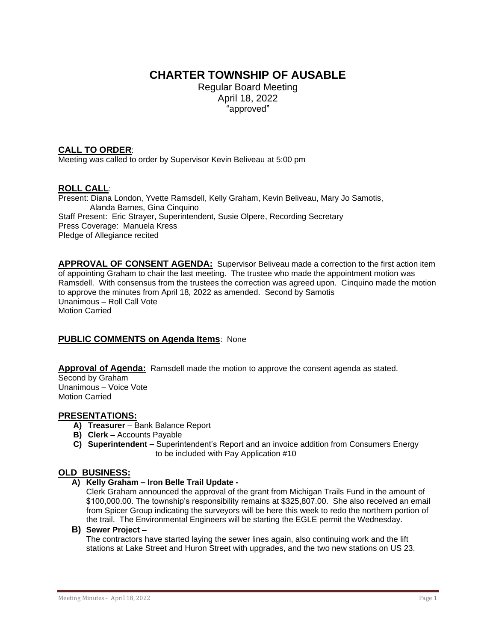# **CHARTER TOWNSHIP OF AUSABLE**

Regular Board Meeting April 18, 2022 "approved"

# **CALL TO ORDER**:

Meeting was called to order by Supervisor Kevin Beliveau at 5:00 pm

# **ROLL CALL**:

Present: Diana London, Yvette Ramsdell, Kelly Graham, Kevin Beliveau, Mary Jo Samotis, Alanda Barnes, Gina Cinquino Staff Present: Eric Strayer, Superintendent, Susie Olpere, Recording Secretary Press Coverage: Manuela Kress Pledge of Allegiance recited

**APPROVAL OF CONSENT AGENDA:** Supervisor Beliveau made a correction to the first action item of appointing Graham to chair the last meeting. The trustee who made the appointment motion was Ramsdell. With consensus from the trustees the correction was agreed upon. Cinquino made the motion to approve the minutes from April 18, 2022 as amended. Second by Samotis Unanimous – Roll Call Vote Motion Carried

# **PUBLIC COMMENTS on Agenda Items**: None

Approval of Agenda: Ramsdell made the motion to approve the consent agenda as stated. Second by Graham Unanimous – Voice Vote Motion Carried

# **PRESENTATIONS:**

- **A) Treasurer**  Bank Balance Report
- **B) Clerk –** Accounts Payable
- **C) Superintendent –** Superintendent's Report and an invoice addition from Consumers Energy to be included with Pay Application #10

# **OLD BUSINESS:**

#### **A) Kelly Graham – Iron Belle Trail Update -**

Clerk Graham announced the approval of the grant from Michigan Trails Fund in the amount of \$100,000.00. The township's responsibility remains at \$325,807.00. She also received an email from Spicer Group indicating the surveyors will be here this week to redo the northern portion of the trail. The Environmental Engineers will be starting the EGLE permit the Wednesday.

#### **B) Sewer Project –**

The contractors have started laying the sewer lines again, also continuing work and the lift stations at Lake Street and Huron Street with upgrades, and the two new stations on US 23.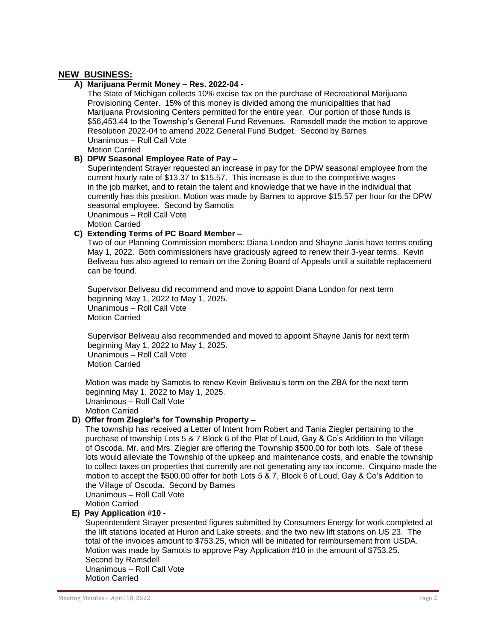# **NEW BUSINESS:**

#### **A) Marijuana Permit Money – Res. 2022-04 -**

 The State of Michigan collects 10% excise tax on the purchase of Recreational Marijuana Provisioning Center. 15% of this money is divided among the municipalities that had Marijuana Provisioning Centers permitted for the entire year. Our portion of those funds is \$56,453.44 to the Township's General Fund Revenues. Ramsdell made the motion to approve Resolution 2022-04 to amend 2022 General Fund Budget. Second by Barnes Unanimous – Roll Call Vote

Motion Carried

#### **B) DPW Seasonal Employee Rate of Pay –**

Superintendent Strayer requested an increase in pay for the DPW seasonal employee from the current hourly rate of \$13.37 to \$15.57. This increase is due to the competitive wages in the job market, and to retain the talent and knowledge that we have in the individual that currently has this position. Motion was made by Barnes to approve \$15.57 per hour for the DPW seasonal employee. Second by Samotis Unanimous – Roll Call Vote

Motion Carried

# **C) Extending Terms of PC Board Member –**

Two of our Planning Commission members: Diana London and Shayne Janis have terms ending May 1, 2022. Both commissioners have graciously agreed to renew their 3-year terms. Kevin Beliveau has also agreed to remain on the Zoning Board of Appeals until a suitable replacement can be found.

Supervisor Beliveau did recommend and move to appoint Diana London for next term beginning May 1, 2022 to May 1, 2025. Unanimous – Roll Call Vote Motion Carried

 Supervisor Beliveau also recommended and moved to appoint Shayne Janis for next term beginning May 1, 2022 to May 1, 2025. Unanimous – Roll Call Vote Motion Carried

 Motion was made by Samotis to renew Kevin Beliveau's term on the ZBA for the next term beginning May 1, 2022 to May 1, 2025. Unanimous – Roll Call Vote Motion Carried

# **D) Offer from Ziegler's for Township Property –**

The township has received a Letter of Intent from Robert and Tania Ziegler pertaining to the purchase of township Lots 5 & 7 Block 6 of the Plat of Loud, Gay & Co's Addition to the Village of Oscoda. Mr. and Mrs. Ziegler are offering the Township \$500.00 for both lots. Sale of these lots would alleviate the Township of the upkeep and maintenance costs, and enable the township to collect taxes on properties that currently are not generating any tax income. Cinquino made the motion to accept the \$500.00 offer for both Lots 5 & 7, Block 6 of Loud, Gay & Co's Addition to the Village of Oscoda. Second by Barnes Unanimous – Roll Call Vote Motion Carried

### **E) Pay Application #10 -**

Superintendent Strayer presented figures submitted by Consumers Energy for work completed at the lift stations located at Huron and Lake streets, and the two new lift stations on US 23. The total of the invoices amount to \$753.25, which will be initiated for reimbursement from USDA. Motion was made by Samotis to approve Pay Application #10 in the amount of \$753.25. Second by Ramsdell Unanimous – Roll Call Vote Motion Carried